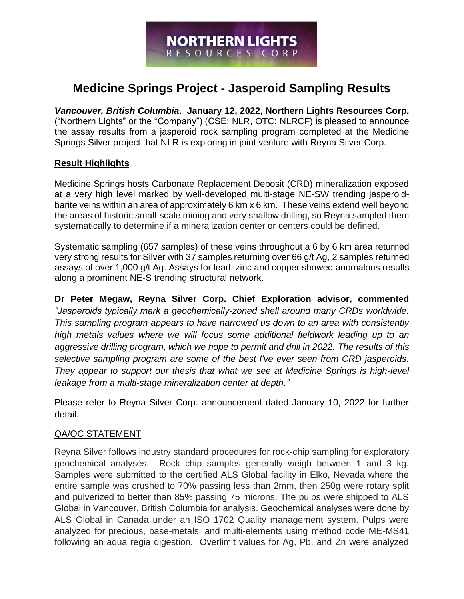# **Medicine Springs Project - Jasperoid Sampling Results**

*Vancouver, British Columbia***. January 12, 2022, Northern Lights Resources Corp.**  ("Northern Lights" or the "Company") (CSE: NLR, OTC: NLRCF) is pleased to announce the assay results from a jasperoid rock sampling program completed at the Medicine Springs Silver project that NLR is exploring in joint venture with Reyna Silver Corp.

## **Result Highlights**

Medicine Springs hosts Carbonate Replacement Deposit (CRD) mineralization exposed at a very high level marked by well-developed multi-stage NE-SW trending jasperoidbarite veins within an area of approximately 6 km x 6 km. These veins extend well beyond the areas of historic small-scale mining and very shallow drilling, so Reyna sampled them systematically to determine if a mineralization center or centers could be defined.

Systematic sampling (657 samples) of these veins throughout a 6 by 6 km area returned very strong results for Silver with 37 samples returning over 66 g/t Ag, 2 samples returned assays of over 1,000 g/t Ag. Assays for lead, zinc and copper showed anomalous results along a prominent NE-S trending structural network.

**Dr Peter Megaw, Reyna Silver Corp. Chief Exploration advisor, commented** *"Jasperoids typically mark a geochemically-zoned shell around many CRDs worldwide. This sampling program appears to have narrowed us down to an area with consistently high metals values where we will focus some additional fieldwork leading up to an aggressive drilling program, which we hope to permit and drill in 2022. The results of this selective sampling program are some of the best I've ever seen from CRD jasperoids. They appear to support our thesis that what we see at Medicine Springs is high-level leakage from a multi-stage mineralization center at depth."*

Please refer to Reyna Silver Corp. announcement dated January 10, 2022 for further detail.

## QA/QC STATEMENT

Reyna Silver follows industry standard procedures for rock-chip sampling for exploratory geochemical analyses. Rock chip samples generally weigh between 1 and 3 kg. Samples were submitted to the certified ALS Global facility in Elko, Nevada where the entire sample was crushed to 70% passing less than 2mm, then 250g were rotary split and pulverized to better than 85% passing 75 microns. The pulps were shipped to ALS Global in Vancouver, British Columbia for analysis. Geochemical analyses were done by ALS Global in Canada under an ISO 1702 Quality management system. Pulps were analyzed for precious, base-metals, and multi-elements using method code ME-MS41 following an aqua regia digestion. Overlimit values for Ag, Pb, and Zn were analyzed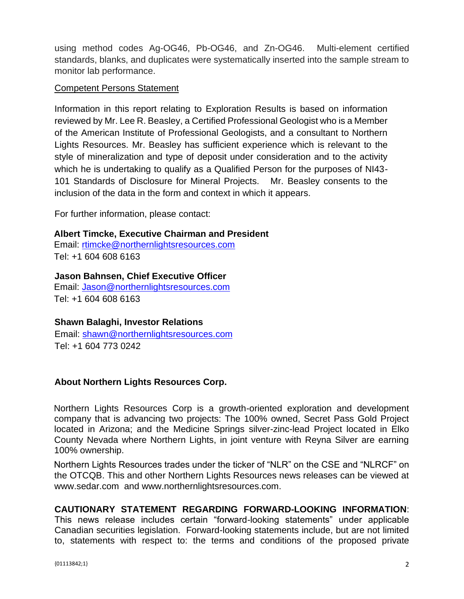using method codes Ag-OG46, Pb-OG46, and Zn-OG46. Multi-element certified standards, blanks, and duplicates were systematically inserted into the sample stream to monitor lab performance.

### Competent Persons Statement

Information in this report relating to Exploration Results is based on information reviewed by Mr. Lee R. Beasley, a Certified Professional Geologist who is a Member of the American Institute of Professional Geologists, and a consultant to Northern Lights Resources. Mr. Beasley has sufficient experience which is relevant to the style of mineralization and type of deposit under consideration and to the activity which he is undertaking to qualify as a Qualified Person for the purposes of NI43- 101 Standards of Disclosure for Mineral Projects. Mr. Beasley consents to the inclusion of the data in the form and context in which it appears.

For further information, please contact:

### **Albert Timcke, Executive Chairman and President**

Email: rtimcke@northernlightsresources.com Tel: +1 604 608 6163

#### **Jason Bahnsen, Chief Executive Officer**

Email: Jason@northernlightsresources.com Tel: +1 604 608 6163

### **Shawn Balaghi, Investor Relations**

Email: [shawn@northernlightsresources.com](mailto:shawn@northernlightsresources.com) Tel: +1 604 773 0242

### **About Northern Lights Resources Corp.**

Northern Lights Resources Corp is a growth-oriented exploration and development company that is advancing two projects: The 100% owned, Secret Pass Gold Project located in Arizona; and the Medicine Springs silver-zinc-lead Project located in Elko County Nevada where Northern Lights, in joint venture with Reyna Silver are earning 100% ownership.

Northern Lights Resources trades under the ticker of "NLR" on the CSE and "NLRCF" on the OTCQB. This and other Northern Lights Resources news releases can be viewed at [www.sedar.com](http://www.sedar.com/) and [www.northernlightsresources.com.](http://www.northernlightsresources.com/)

## **CAUTIONARY STATEMENT REGARDING FORWARD-LOOKING INFORMATION**:

This news release includes certain "forward-looking statements" under applicable Canadian securities legislation. Forward-looking statements include, but are not limited to, statements with respect to: the terms and conditions of the proposed private